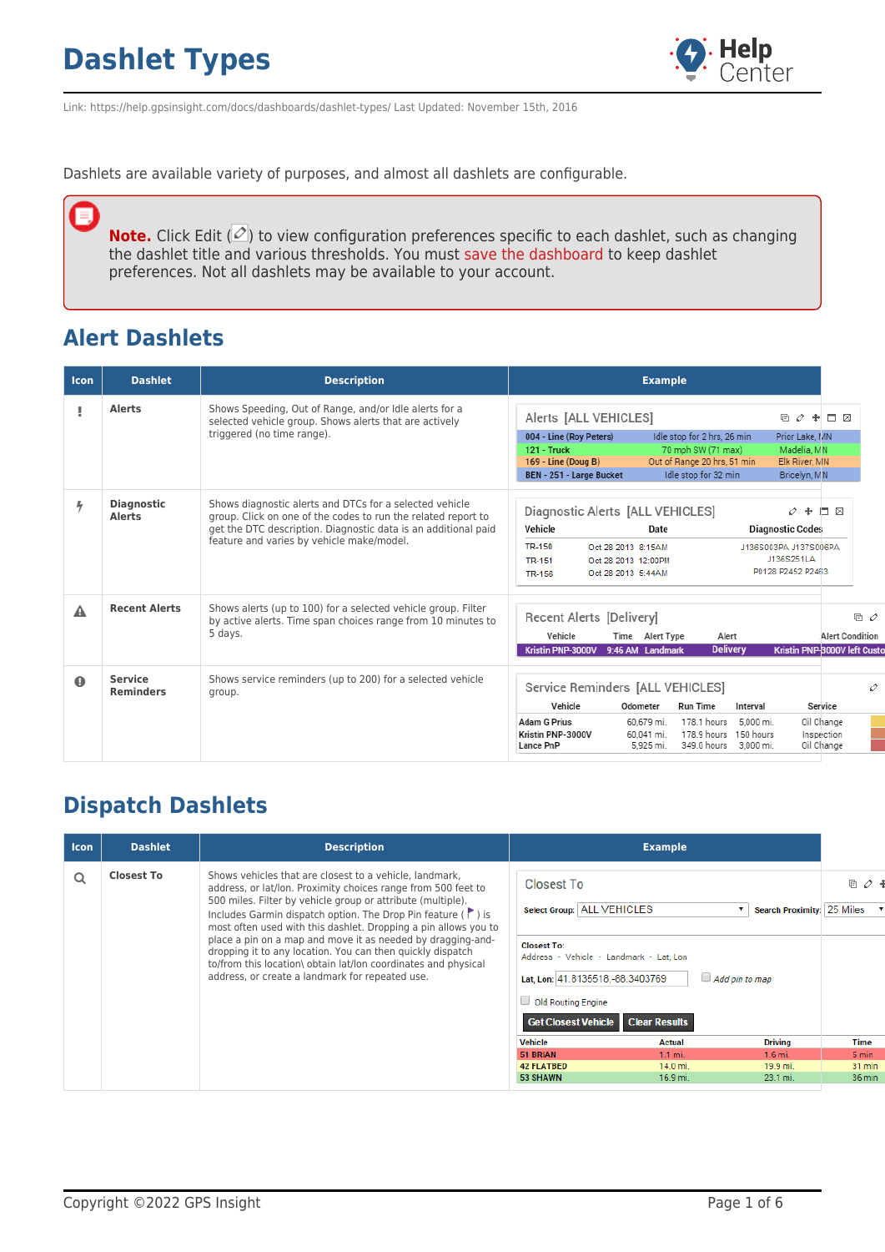

Link: https://help.gpsinsight.com/docs/dashboards/dashlet-types/ Last Updated: November 15th, 2016

Dashlets are available variety of purposes, and almost all dashlets are configurable.

**Note.** Click Edit ( $\mathcal{O}$ ) to view configuration preferences specific to each dashlet, such as changing the dashlet title and various thresholds. You must [save the dashboard](https://help.gpsinsight.com/docs/dashboards/customizing-the-dashboard/) to keep dashlet preferences. Not all dashlets may be available to your account.

#### **Alert Dashlets**

۵

| <b>Icon</b> | <b>Dashlet</b>                     | <b>Description</b>                                                                                                                                                                                                                      | <b>Example</b>                                                                                                                                                                                                                                                                                                  |                                                               |
|-------------|------------------------------------|-----------------------------------------------------------------------------------------------------------------------------------------------------------------------------------------------------------------------------------------|-----------------------------------------------------------------------------------------------------------------------------------------------------------------------------------------------------------------------------------------------------------------------------------------------------------------|---------------------------------------------------------------|
|             | <b>Alerts</b>                      | Shows Speeding, Out of Range, and/or Idle alerts for a<br>selected vehicle group. Shows alerts that are actively<br>triggered (no time range).                                                                                          | Alerts [ALL VEHICLES]<br>□ ク ♣ □ 図<br>004 - Line (Roy Peters)<br>Idle stop for 2 hrs, 26 min<br>Prior Lake, MN<br>$121 -$ Truck<br>70 mph SW (71 max)<br>Madelia, MN<br>Out of Range 20 hrs, 51 min<br>169 - Line (Doug B)<br>Elk River, MN<br>Idle stop for 32 min<br>Bricelyn, MN<br>BEN - 251 - Large Bucket |                                                               |
| 4           | <b>Diagnostic</b><br><b>Alerts</b> | Shows diagnostic alerts and DTCs for a selected vehicle<br>group. Click on one of the codes to run the related report to<br>get the DTC description. Diagnostic data is an additional paid<br>feature and varies by vehicle make/model. | Diagnostic Alerts [ALL VEHICLES]<br>$\varphi +$<br>Vehicle<br><b>Diagnostic Codes</b><br>Date<br>TR-150<br>Oct 28 2013 8:15AM<br>J136S003PA J137S006PA<br>J136S251LA<br><b>TR-151</b><br>Oct 28 2013 12:00PM<br>P0128 P2452 P2463<br>Oct 28 2013 5:44AM<br><b>TR-156</b>                                        | D X                                                           |
| А           | <b>Recent Alerts</b>               | Shows alerts (up to 100) for a selected vehicle group. Filter<br>by active alerts. Time span choices range from 10 minutes to<br>5 days.                                                                                                | Recent Alerts [Delivery]<br>Vehicle<br>Alert<br>Time<br>Alert Type<br><b>Delivery</b><br>Kristin PNP-3000V<br>9:46 AM Landmark                                                                                                                                                                                  | 回 ク<br><b>Alert Condition</b><br>Kristin PNP-8000V left Custo |
| $\Omega$    | <b>Service</b><br><b>Reminders</b> | Shows service reminders (up to 200) for a selected vehicle<br>group.                                                                                                                                                                    | Service Reminders [ALL VEHICLES]<br>Vehicle<br>Odometer<br><b>Run Time</b><br>Interval<br><b>Adam G Prius</b><br>60.679 mi.<br>178.1 hours<br>5.000 mi.<br>Kristin PNP-3000V<br>178.9 hours 150 hours<br>60.041 mi.<br>349.0 hours<br>Lance PnP<br>5.925 mi.<br>3.000 mi.                                       | 0<br>Service<br>Oil Change<br>Inspection<br>Oil Change        |

#### **Dispatch Dashlets**

| <b>Icon</b> | <b>Dashlet</b>    | <b>Description</b>                                                                                                                                                                                                                                                                                                                |                                                                                                                                                        | <b>Example</b>       |                            |            |
|-------------|-------------------|-----------------------------------------------------------------------------------------------------------------------------------------------------------------------------------------------------------------------------------------------------------------------------------------------------------------------------------|--------------------------------------------------------------------------------------------------------------------------------------------------------|----------------------|----------------------------|------------|
| Q           | <b>Closest To</b> | Shows vehicles that are closest to a vehicle, landmark,<br>address, or lat/lon. Proximity choices range from 500 feet to<br>500 miles. Filter by vehicle group or attribute (multiple).<br>Includes Garmin dispatch option. The Drop Pin feature $(\Gamma)$ is<br>most often used with this dashlet. Dropping a pin allows you to | <b>Closest To</b><br>Select Group: ALL VEHICLES                                                                                                        |                      | Search Proximity: 25 Miles | 目 $\rho$ ・ |
|             |                   | place a pin on a map and move it as needed by dragging-and-<br>dropping it to any location. You can then quickly dispatch<br>to/from this location\ obtain lat/lon coordinates and physical<br>address, or create a landmark for repeated use.                                                                                    | <b>Closest To:</b><br>Address - Vehicle - Landmark - Lat. Lon<br>Lat, Lon: 41.8135518, -88.3403769<br>Old Routing Engine<br><b>Get Closest Vehicle</b> | <b>Clear Results</b> | $\Box$ Add pin to map      |            |
|             |                   |                                                                                                                                                                                                                                                                                                                                   | <b>Vehicle</b>                                                                                                                                         | Actual               | <b>Driving</b>             | Time       |
|             |                   |                                                                                                                                                                                                                                                                                                                                   | 51 BRIAN                                                                                                                                               | $1.1$ mi.            | $1.6$ mi.                  | 5 min      |
|             |                   |                                                                                                                                                                                                                                                                                                                                   | <b>42 FLATBED</b>                                                                                                                                      | $14.0 m$ i.          | 19.9 mi.                   | 31 min     |
|             |                   |                                                                                                                                                                                                                                                                                                                                   | 53 SHAWN                                                                                                                                               | 16.9 mi.             | 23.1 mi.                   | 36 min     |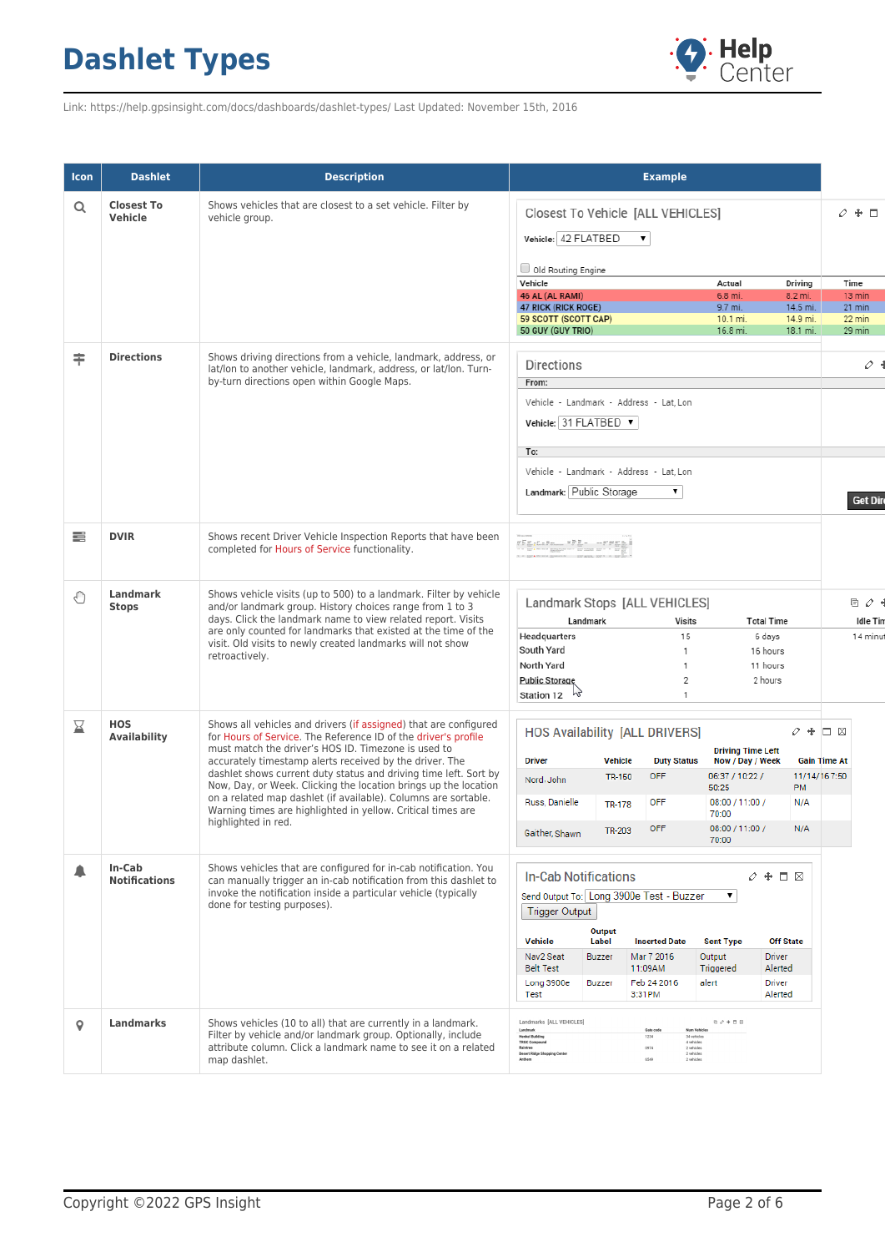

Link: https://help.gpsinsight.com/docs/dashboards/dashlet-types/ Last Updated: November 15th, 2016

| <b>Icon</b> | <b>Dashlet</b>                    | <b>Description</b>                                                                                                                                                                                                                                                                                                                                                                                                                                                                                                                                  | <b>Example</b>                                                                                                                                                                                                                                                                                                                                                                                                                                                                      |                                                                  |
|-------------|-----------------------------------|-----------------------------------------------------------------------------------------------------------------------------------------------------------------------------------------------------------------------------------------------------------------------------------------------------------------------------------------------------------------------------------------------------------------------------------------------------------------------------------------------------------------------------------------------------|-------------------------------------------------------------------------------------------------------------------------------------------------------------------------------------------------------------------------------------------------------------------------------------------------------------------------------------------------------------------------------------------------------------------------------------------------------------------------------------|------------------------------------------------------------------|
| Q           | <b>Closest To</b><br>Vehicle      | Shows vehicles that are closest to a set vehicle. Filter by<br>vehicle group.                                                                                                                                                                                                                                                                                                                                                                                                                                                                       | Closest To Vehicle [ALL VEHICLES]<br>Vehicle: 42 FLATBED<br>۷.<br>Old Routing Engine<br>Vehicle<br>Actual<br>Driving<br>46 AL (AL RAMI)<br>6.8 mi.<br>8.2 mi.<br><b>47 RICK (RICK ROGE)</b><br>9.7 mi.<br>14.5 mi.<br>59 SCOTT (SCOTT CAP)<br>14.9 mi.<br>10.1 mi.<br>50 GUY (GUY TRIO)<br>16.8 mi.<br>18.1 mi.                                                                                                                                                                     | $+$ $\Box$<br>O.<br>Time<br>13 min<br>21 min<br>22 min<br>29 min |
| ≑           | <b>Directions</b>                 | Shows driving directions from a vehicle, landmark, address, or<br>lat/lon to another vehicle, landmark, address, or lat/lon. Turn-<br>by-turn directions open within Google Maps.                                                                                                                                                                                                                                                                                                                                                                   | <b>Directions</b><br>From:<br>Vehicle - Landmark - Address - Lat. Lon<br>Vehicle: 31 FLATBED ▼<br>To:<br>Vehicle - Landmark - Address - Lat. Lon<br>Landmark: Public Storage<br>۷.                                                                                                                                                                                                                                                                                                  | o<br><b>Get Di</b>                                               |
| ≡           | <b>DVIR</b>                       | Shows recent Driver Vehicle Inspection Reports that have been<br>completed for Hours of Service functionality.                                                                                                                                                                                                                                                                                                                                                                                                                                      | $\frac{1}{n}\sum_{i=1}^n\frac{1}{n!}\sum_{i=1}^n\frac{1}{n!}\sum_{i=1}^n\frac{1}{n!}\sum_{i=1}^n\frac{1}{n!}\sum_{i=1}^n\frac{1}{n!}\sum_{i=1}^n\frac{1}{n!}\sum_{i=1}^n\frac{1}{n!}\sum_{i=1}^n\frac{1}{n!}\sum_{i=1}^n\frac{1}{n!}\sum_{i=1}^n\frac{1}{n!}\sum_{i=1}^n\frac{1}{n!}\sum_{i=1}^n\frac{1}{n!}\sum_{i=1}^n\frac{1}{n!}\sum_{i=1$                                                                                                                                      |                                                                  |
| €           | <b>Landmark</b><br><b>Stops</b>   | Shows vehicle visits (up to 500) to a landmark. Filter by vehicle<br>and/or landmark group. History choices range from 1 to 3<br>days. Click the landmark name to view related report. Visits<br>are only counted for landmarks that existed at the time of the<br>visit. Old visits to newly created landmarks will not show<br>retroactively.                                                                                                                                                                                                     | Landmark Stops [ALL VEHICLES]<br>Landmark<br>Visits<br><b>Total Time</b><br>Headquarters<br>15<br>6 days<br>South Yard<br>16 hours<br>1<br>North Yard<br>11 hours<br>1<br>$\overline{2}$<br>2 hours<br><b>Public Storage</b><br><b>Station 12</b><br>1                                                                                                                                                                                                                              | 回 ク<br>Idle Ti<br>14 min                                         |
| ⊠           | <b>HOS</b><br><b>Availability</b> | Shows all vehicles and drivers (if assigned) that are configured<br>for Hours of Service. The Reference ID of the driver's profile<br>must match the driver's HOS ID. Timezone is used to<br>accurately timestamp alerts received by the driver. The<br>dashlet shows current duty status and driving time left. Sort by<br>Now, Day, or Week. Clicking the location brings up the location<br>on a related map dashlet (if available). Columns are sortable.<br>Warning times are highlighted in yellow. Critical times are<br>highlighted in red. | <b>HOS Availability [ALL DRIVERS]</b><br>$\varphi + \Box$ $\boxtimes$<br><b>Driving Time Left</b><br><b>Driver</b><br><b>Vehicle</b><br>Now / Day / Week<br><b>Gain Time At</b><br><b>Duty Status</b><br>11/14/167:50<br><b>OFF</b><br>06:37 / 10:22 /<br><b>TR-150</b><br>Nord, John<br><b>PM</b><br>50:25<br>Russ, Danielle<br>08:00 / 11:00 /<br><b>OFF</b><br>N/A<br><b>TR-178</b><br>70:00<br><b>OFF</b><br>08:00 / 11:00 /<br>N/A<br><b>TR-203</b><br>Gaither, Shawn<br>70:00 |                                                                  |
|             | In-Cab<br><b>Notifications</b>    | Shows vehicles that are configured for in-cab notification. You<br>can manually trigger an in-cab notification from this dashlet to<br>invoke the notification inside a particular vehicle (typically<br>done for testing purposes).                                                                                                                                                                                                                                                                                                                | <b>In-Cab Notifications</b><br>$0 + \Box$ $\boxtimes$<br>Send Output To: Long 3900e Test - Buzzer<br>۷.<br><b>Trigger Output</b><br>Output<br><b>Vehicle</b><br><b>Off State</b><br>Label<br><b>Inserted Date</b><br><b>Sent Type</b><br>Nav2 Seat<br>Mar 7 2016<br>Output<br><b>Driver</b><br><b>Buzzer</b><br><b>Belt Test</b><br>Triggered<br>Alerted<br>11:09AM<br>Feb 24 2016<br>alert<br>Long 3900e<br><b>Buzzer</b><br>Driver<br>3:31PM<br>Alerted<br>Test                   |                                                                  |
| o           | <b>Landmarks</b>                  | Shows vehicles (10 to all) that are currently in a landmark.<br>Filter by vehicle and/or landmark group. Optionally, include<br>attribute column. Click a landmark name to see it on a related<br>map dashlet.                                                                                                                                                                                                                                                                                                                                      | Landmarks [ALL VEHICLES]<br>$0 \ \mathcal{O} + \Box \ \boxtimes$<br>Landmark<br>Gate code<br>Num Vehicles<br><b>Henkel Building</b><br>34 vehicles<br>1234<br><b>TRGC Compound</b><br>4 vehicles<br>0974<br>Raintree<br>2 vehicles<br><b>Desert Ridge Shopping Center</b><br>2 vehicles<br>6549<br>2 vehicles                                                                                                                                                                       |                                                                  |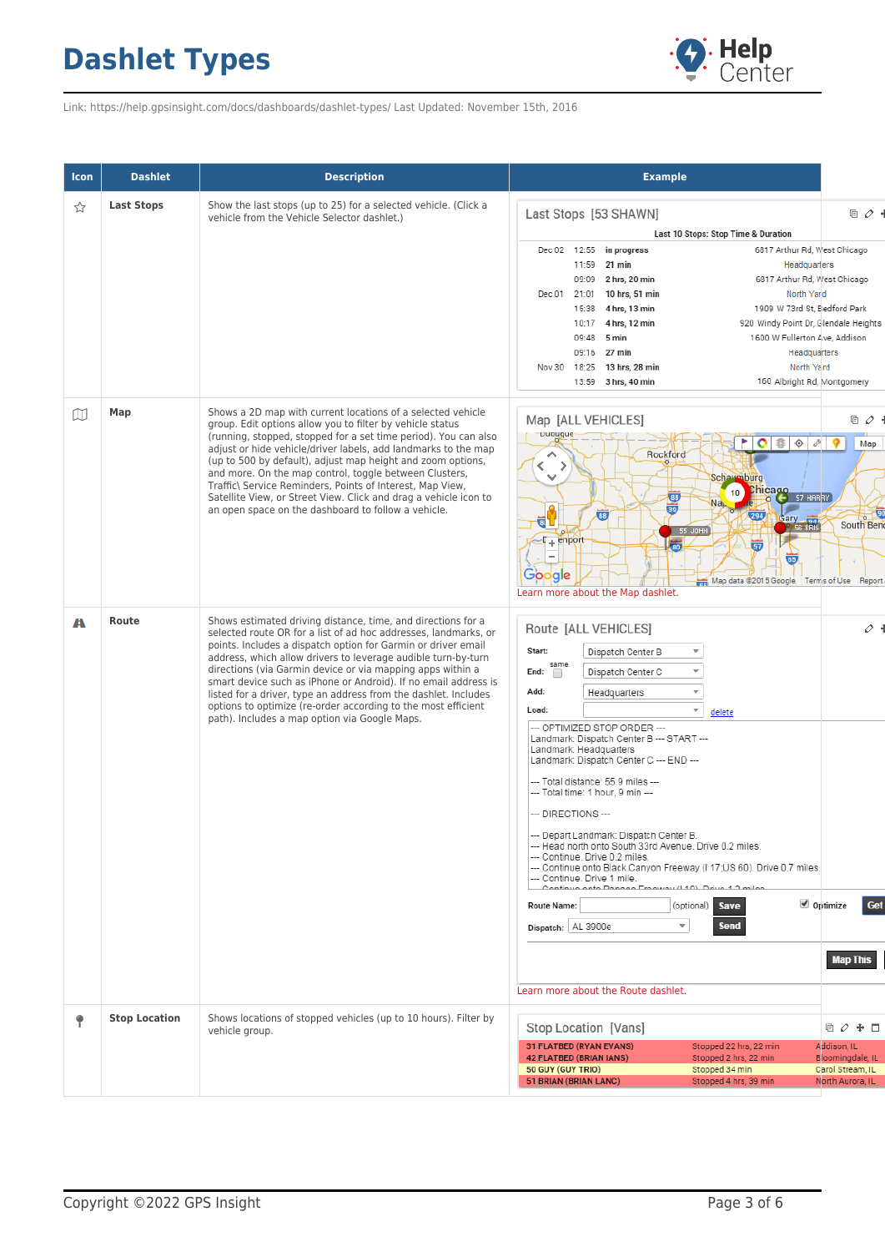

Link: https://help.gpsinsight.com/docs/dashboards/dashlet-types/ Last Updated: November 15th, 2016

| Icon | <b>Dashlet</b>       | <b>Description</b>                                                                                                                                                                                                                                                                                                                                                                                                                                                                                                                                                                      | <b>Example</b>                                                                                                                                                                                                                                                                                                                                                                                                                                                                                                                                                                                                                                                                                                                                                                                                                                                                                                                                                                 |                                                                     |
|------|----------------------|-----------------------------------------------------------------------------------------------------------------------------------------------------------------------------------------------------------------------------------------------------------------------------------------------------------------------------------------------------------------------------------------------------------------------------------------------------------------------------------------------------------------------------------------------------------------------------------------|--------------------------------------------------------------------------------------------------------------------------------------------------------------------------------------------------------------------------------------------------------------------------------------------------------------------------------------------------------------------------------------------------------------------------------------------------------------------------------------------------------------------------------------------------------------------------------------------------------------------------------------------------------------------------------------------------------------------------------------------------------------------------------------------------------------------------------------------------------------------------------------------------------------------------------------------------------------------------------|---------------------------------------------------------------------|
| ☆    | <b>Last Stops</b>    | Show the last stops (up to 25) for a selected vehicle. (Click a<br>vehicle from the Vehicle Selector dashlet.)                                                                                                                                                                                                                                                                                                                                                                                                                                                                          | Last Stops [53 SHAWN]<br>Last 10 Stops: Stop Time & Duration<br>6817 Arthur Rd, West Chicago<br>12:55<br>in progress<br>Dec 02<br>11:59 21 min<br>Headquarters<br>09:09 2 hrs, 20 min<br>6817 Arthur Rd, West Chicago<br>21:01 10 hrs, 51 min<br>North Yard<br>Dec 01<br>1909 W 73rd St, Eledford Park<br>4 hrs, 13 min<br>15:38<br>920 Windy Point Dr. Glendale Heights<br>4 hrs, 12 min<br>10:17<br>1600 W Fullerton Ave, Addison<br>09:48<br>5 min<br>09:16 27 min<br>Headquarters<br>North Yard<br>18:25 13 hrs, 28 min<br>Nov 30<br>160 Albright Rd, Montgomery<br>13:59 3 hrs, 40 min                                                                                                                                                                                                                                                                                                                                                                                    | ◎ ♪                                                                 |
| w    | Map                  | Shows a 2D map with current locations of a selected vehicle<br>group. Edit options allow you to filter by vehicle status<br>(running, stopped, stopped for a set time period). You can also<br>adjust or hide vehicle/driver labels, add landmarks to the map<br>(up to 500 by default), adjust map height and zoom options,<br>and more. On the map control, toggle between Clusters,<br>Traffic\ Service Reminders, Points of Interest, Map View,<br>Satellite View, or Street View. Click and drag a vehicle icon to<br>an open space on the dashboard to follow a vehicle.          | Map [ALL VEHICLES]<br><b>Dupuque</b><br><b>POS</b><br>$\hat{\mathbb{Q}}$<br>9<br>$\mathcal{P}$<br>Rockford<br>⌒<br><sup>&gt;</sup><br>K.<br><b>Scharmburg</b><br>v<br>Chicago<br>C 57 HARRY<br>10<br>38<br>Na <sub>L</sub><br>謆<br>88<br>294<br>Gary <b>Ford</b><br>tai<br>55 JOHN<br>$T_+$ enport<br>局<br>$\overline{57}$<br>65<br>Google<br>Map data @2015 Google Terms of Use<br>Learn more about the Map dashlet.                                                                                                                                                                                                                                                                                                                                                                                                                                                                                                                                                          | ◎ ♪<br>Map<br>South Ben<br>Report                                   |
| A    | Route                | Shows estimated driving distance, time, and directions for a<br>selected route OR for a list of ad hoc addresses, landmarks, or<br>points. Includes a dispatch option for Garmin or driver email<br>address, which allow drivers to leverage audible turn-by-turn<br>directions (via Garmin device or via mapping apps within a<br>smart device such as iPhone or Android). If no email address is<br>listed for a driver, type an address from the dashlet. Includes<br>options to optimize (re-order according to the most efficient<br>path). Includes a map option via Google Maps. | Route [ALL VEHICLES]<br>Start:<br>Dispatch Center B<br>$\overline{\mathbf v}$<br>same<br>Dispatch Center C<br>$\overline{\mathbf v}$<br>End:<br>∩<br>Add:<br>$\overline{\mathbf v}$<br>Headquarters<br>$\overline{\mathbf v}$<br>Load:<br>delete<br>--- OPTIMIZED STOP ORDER ---<br>Landmark: Dispatch Center B --- START ---<br>Landmark: Headquarters<br>Landmark: Dispatch Center C --- END ---<br>--- Total distance: 55.9 miles ---<br>--- Total time: 1 hour, 9 min ---<br>--- DIRECTIONS ---<br>--- Depart Landmark: Dispatch Center B.<br>--- Head north onto South 33rd Avenue. Drive 0.2 miles.<br>--- Continue. Drive 0.2 miles.<br>--- Continue onto Black Canyon Freeway (I 17; US 60). Drive 0.7 miles.<br>--- Continue. Drive 1 mile.<br>Continuo onto Dangeo Fraguesi (140) Drive 4.3 milas<br>✔ Optimize<br>(optional)<br><b>Save</b><br>Route Name:<br>$\overline{\mathbf{v}}$<br><b>Send</b><br>Dispatch:   AL 3900e<br>Learn more about the Route dashlet. | $\scriptstyle\mathcal{O}$ .<br>Get<br><b>Map This</b>               |
|      | <b>Stop Location</b> | Shows locations of stopped vehicles (up to 10 hours). Filter by<br>vehicle group.                                                                                                                                                                                                                                                                                                                                                                                                                                                                                                       | Stop Location [Vans]<br>31 FLATBED (RYAN EVANS)<br>Stopped 22 hrs, 22 min<br>Addison, IL<br>Stopped 2 hrs, 22 min<br><b>42 FLATBED (BRIAN IANS)</b><br>50 GUY (GUY TRIO)<br>Stopped 34 min<br>51 BRIAN (BRIAN LANC)<br>Stopped 4 hrs, 39 min                                                                                                                                                                                                                                                                                                                                                                                                                                                                                                                                                                                                                                                                                                                                   | 重 ク 争 口<br>Bloomingdale, IL<br>Carol Stream, IL<br>North Aurora, IL |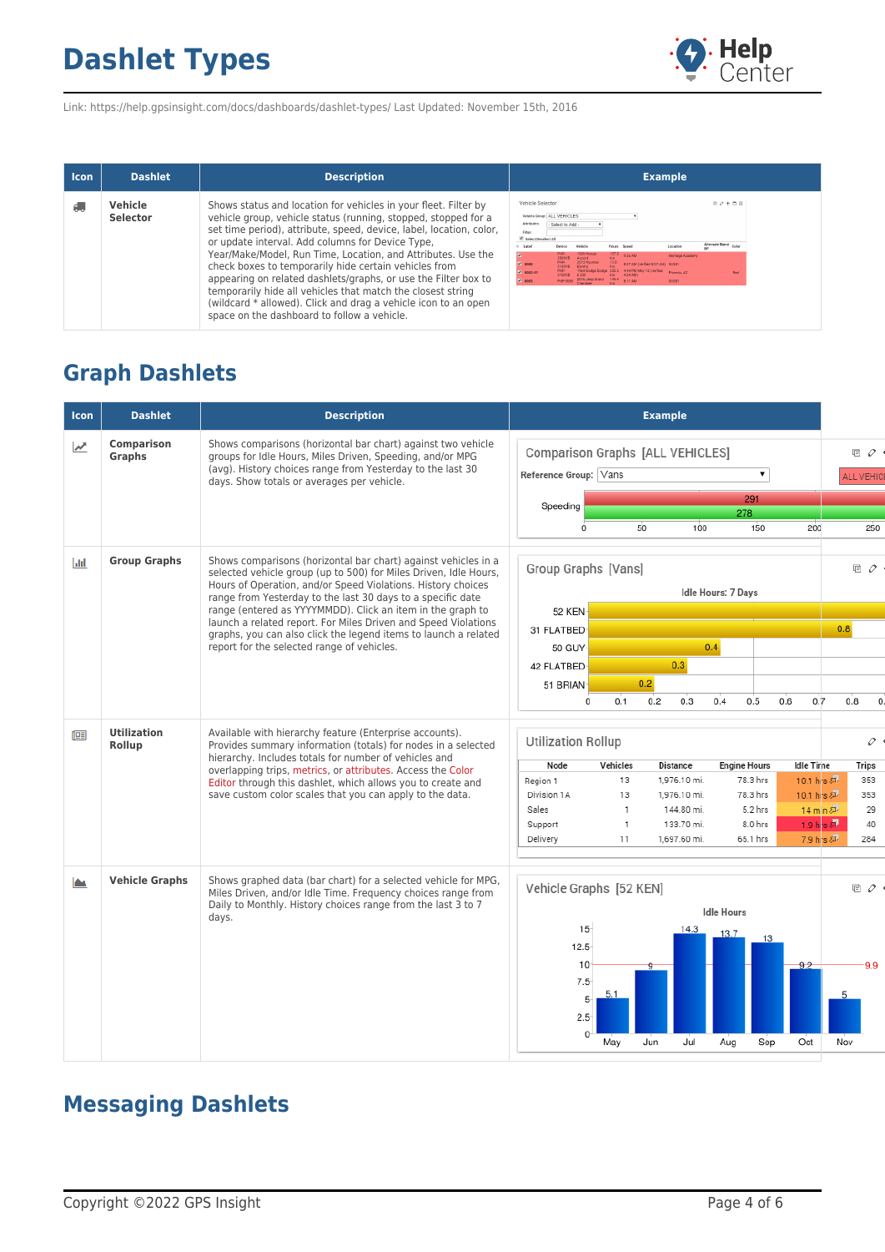

Link: https://help.gpsinsight.com/docs/dashboards/dashlet-types/ Last Updated: November 15th, 2016

| <b>Icon</b> | <b>Dashlet</b>             | <b>Description</b>                                                                                                                                                                                                                                                                                                                                                                                                                                                                                                                                                                                                                      | <b>Example</b>                                                                                                                                                                                                                                                                                                                                                                                                                                                                                             |
|-------------|----------------------------|-----------------------------------------------------------------------------------------------------------------------------------------------------------------------------------------------------------------------------------------------------------------------------------------------------------------------------------------------------------------------------------------------------------------------------------------------------------------------------------------------------------------------------------------------------------------------------------------------------------------------------------------|------------------------------------------------------------------------------------------------------------------------------------------------------------------------------------------------------------------------------------------------------------------------------------------------------------------------------------------------------------------------------------------------------------------------------------------------------------------------------------------------------------|
|             | Vehicle<br><b>Selector</b> | Shows status and location for vehicles in your fleet. Filter by<br>vehicle group, vehicle status (running, stopped, stopped for a<br>set time period), attribute, speed, device, label, location, color,<br>or update interval. Add columns for Device Type,<br>Year/Make/Model, Run Time, Location, and Attributes. Use the<br>check boxes to temporarily hide certain vehicles from<br>appearing on related dashlets/graphs, or use the Filter box to<br>temporarily hide all vehicles that match the closest string<br>(wildcard * allowed). Click and drag a vehicle icon to an open<br>space on the dashboard to follow a vehicle. | Vehicle Selector<br>$0$ $0$ $+$ $ 0$<br>Vehicle Group: ALL VEHICLES<br>- Select to Add -<br>Filter<br>Colort/Desalert All<br>Alternate Name Color<br>Label<br>Vehicle<br>Location<br>Desire<br>Hours Speed<br>1999 Hond<br>157.5 9:36 AM<br>Heritage Academ<br>2013 Myundai<br>8:07 AM (verified 8:07 AM) SUS01<br>$-8000$<br>1964 Dodge Dodge 320.5 4:44 PM May 15 (verified<br>6 330 hrs 4:24 AM)<br>$-8002 - 01$<br><b>Phoenix 47</b><br>Red<br>2016 Jeep Grand 149.4 8:11 AM<br>$\sqrt{8003}$<br>SU501 |

#### **Graph Dashlets**

| <b>Icon</b> | <b>Dashlet</b>                                                                                                                                                                                                    | <b>Description</b>                                                                                                                                                                                                                                                | <b>Example</b>                                                                                                          |                                |
|-------------|-------------------------------------------------------------------------------------------------------------------------------------------------------------------------------------------------------------------|-------------------------------------------------------------------------------------------------------------------------------------------------------------------------------------------------------------------------------------------------------------------|-------------------------------------------------------------------------------------------------------------------------|--------------------------------|
| "           | <b>Comparison</b><br><b>Graphs</b>                                                                                                                                                                                | Shows comparisons (horizontal bar chart) against two vehicle<br>groups for Idle Hours, Miles Driven, Speeding, and/or MPG<br>(avg). History choices range from Yesterday to the last 30<br>days. Show totals or averages per vehicle.                             | <b>Comparison Graphs [ALL VEHICLES]</b><br>Reference Group: Vans<br>▼                                                   | 目 $\rho$ 。<br><b>ALL VEHIC</b> |
|             |                                                                                                                                                                                                                   |                                                                                                                                                                                                                                                                   | 291                                                                                                                     |                                |
|             |                                                                                                                                                                                                                   |                                                                                                                                                                                                                                                                   | Speeding<br>278                                                                                                         |                                |
|             |                                                                                                                                                                                                                   |                                                                                                                                                                                                                                                                   | 100<br>150<br>Ó<br>50<br>200                                                                                            | 250                            |
| <b>Jali</b> | <b>Group Graphs</b>                                                                                                                                                                                               | Shows comparisons (horizontal bar chart) against vehicles in a<br>selected vehicle group (up to 500) for Miles Driven, Idle Hours,<br>Hours of Operation, and/or Speed Violations. History choices<br>range from Yesterday to the last 30 days to a specific date | Group Graphs [Vans]<br>Idle Hours: 7 Days                                                                               | 回 ク                            |
|             |                                                                                                                                                                                                                   | range (entered as YYYYMMDD). Click an item in the graph to<br>launch a related report. For Miles Driven and Speed Violations                                                                                                                                      | 52 KEN                                                                                                                  |                                |
|             |                                                                                                                                                                                                                   | graphs, you can also click the legend items to launch a related                                                                                                                                                                                                   | 31 FLATBED                                                                                                              | 0.8                            |
|             |                                                                                                                                                                                                                   | report for the selected range of vehicles.                                                                                                                                                                                                                        | 0.4<br>50 GUY                                                                                                           |                                |
|             |                                                                                                                                                                                                                   |                                                                                                                                                                                                                                                                   | 0.3<br>42 FLATBED                                                                                                       |                                |
|             |                                                                                                                                                                                                                   |                                                                                                                                                                                                                                                                   | 0.2<br>51 BRIAN                                                                                                         |                                |
|             |                                                                                                                                                                                                                   |                                                                                                                                                                                                                                                                   | 0.4<br>0<br>0.1<br>0.2<br>0.3<br>0.5<br>0.6<br>0.7                                                                      | 0.8                            |
| 佪           | <b>Utilization</b><br>Available with hierarchy feature (Enterprise accounts).<br>Provides summary information (totals) for nodes in a selected<br>Rollup<br>hierarchy. Includes totals for number of vehicles and | <b>Utilization Rollup</b>                                                                                                                                                                                                                                         | o                                                                                                                       |                                |
|             |                                                                                                                                                                                                                   | overlapping trips, metrics, or attributes. Access the Color                                                                                                                                                                                                       | Node<br>Vehicles<br><b>Distance</b><br><b>Engine Hours</b><br><b>Idle Time</b>                                          | Trips                          |
|             |                                                                                                                                                                                                                   | Editor through this dashlet, which allows you to create and                                                                                                                                                                                                       | 13<br>1.976.10 mi.<br>78.3 hrs<br>10.1 hrs &<br>Region 1<br>1,976.10 mi.<br>78.3 hrs<br>10.1 hrs &<br>Division 1A<br>13 | 353<br>353                     |
|             |                                                                                                                                                                                                                   | save custom color scales that you can apply to the data.                                                                                                                                                                                                          | 144.80 mi.<br>5.2 hrs<br>14 min 2<br>Sales<br>1                                                                         | 29                             |
|             |                                                                                                                                                                                                                   |                                                                                                                                                                                                                                                                   | 1.9 his $\sqrt{2}$<br>8.0 hrs<br>1<br>133.70 mi.<br>Support                                                             | 40                             |
|             |                                                                                                                                                                                                                   |                                                                                                                                                                                                                                                                   | Delivery<br>1,697.60 mi.<br>65.1 hrs<br>7.9 hrs &<br>11                                                                 | 284                            |
|             |                                                                                                                                                                                                                   |                                                                                                                                                                                                                                                                   |                                                                                                                         |                                |
| m           | <b>Vehicle Graphs</b>                                                                                                                                                                                             | Shows graphed data (bar chart) for a selected vehicle for MPG,<br>Miles Driven, and/or Idle Time. Frequency choices range from<br>Daily to Monthly. History choices range from the last 3 to 7<br>days.                                                           | Vehicle Graphs [52 KEN]<br><b>Idle Hours</b><br>15 <sup>5</sup><br>14.3<br>13.7<br>13<br>$12.5 -$                       | $\mathbb{R}$ $\varphi$ .       |
|             |                                                                                                                                                                                                                   |                                                                                                                                                                                                                                                                   | 10 <sup>°</sup><br>$7.5 -$<br>5<br>$2.5^{\circ}$<br>$\Omega$<br>Sep<br>Oct<br>May<br>Jun<br>Jul<br>Aug                  | 9.9<br>Nov                     |

### **Messaging Dashlets**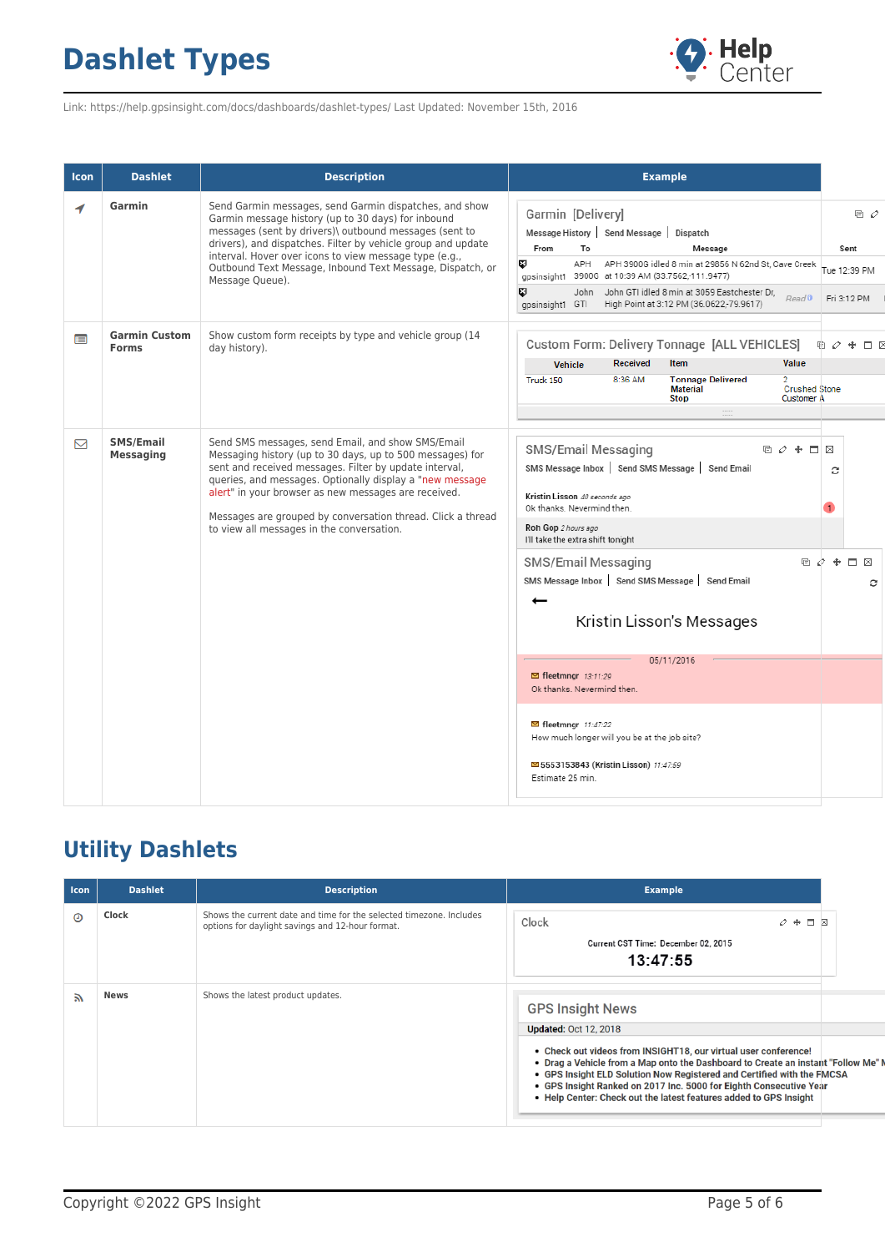

Link: https://help.gpsinsight.com/docs/dashboards/dashlet-types/ Last Updated: November 15th, 2016

| <b>Icon</b> | <b>Dashlet</b>                       | <b>Description</b>                                                                                                                                                                                                                                                                                                                                                                                       | <b>Example</b>                                                                                                                                                                                                                                                                                                                                                |                                            |
|-------------|--------------------------------------|----------------------------------------------------------------------------------------------------------------------------------------------------------------------------------------------------------------------------------------------------------------------------------------------------------------------------------------------------------------------------------------------------------|---------------------------------------------------------------------------------------------------------------------------------------------------------------------------------------------------------------------------------------------------------------------------------------------------------------------------------------------------------------|--------------------------------------------|
| 1           | Garmin                               | Send Garmin messages, send Garmin dispatches, and show<br>Garmin message history (up to 30 days) for inbound<br>messages (sent by drivers)\ outbound messages (sent to<br>drivers), and dispatches. Filter by vehicle group and update<br>interval. Hover over icons to view message type (e.g.,<br>Outbound Text Message, Inbound Text Message, Dispatch, or<br>Message Queue).                         | Garmin [Delivery]<br>Message History Send Message<br>Dispatch<br>From<br>To<br>Message<br>Ø<br>APH<br>APH 3900G idled 8 min at 29856 N 62nd St, Cave Creek<br>qpsinsight1 3900G at 10:39 AM (33.7562,-111.9477)<br>Ø<br>John John GTI idled 8 min at 3059 Eastchester Dr,<br>Read <sup>0</sup><br>High Point at 3:12 PM (36.0622,-79.9617)<br>gpsinsight1 GTI | 回 ク<br>Sent<br>Tue 12:39 PM<br>Fri 3:12 PM |
| m           | <b>Garmin Custom</b><br><b>Forms</b> | Show custom form receipts by type and vehicle group (14<br>day history).                                                                                                                                                                                                                                                                                                                                 | Custom Form: Delivery Tonnage [ALL VEHICLES]<br>晒<br><b>Received</b><br>Value<br><b>Item</b><br>Vehicle<br>8:36 AM<br><b>Tonnage Delivered</b><br>Truck 150<br><b>Material</b><br><b>Crushed Stone</b><br><b>Stop</b><br><b>Customer A</b>                                                                                                                    | ⊘                                          |
| ⊠           | <b>SMS/Email</b><br><b>Messaging</b> | Send SMS messages, send Email, and show SMS/Email<br>Messaging history (up to 30 days, up to 500 messages) for<br>sent and received messages. Filter by update interval,<br>queries, and messages. Optionally display a "new message<br>alert" in your browser as new messages are received.<br>Messages are grouped by conversation thread. Click a thread<br>to view all messages in the conversation. | SMS/Email Messaging<br>咱 ⊘ ♣ ่ ่ ่ ่ ⊠<br>SMS Message Inbox Send SMS Message Send Email<br>Kristin Lisson 40 seconds ago<br>Ok thanks. Nevermind then.<br>Roh Gop 2 hours ago<br>I'll take the extra shift tonight                                                                                                                                            | с                                          |
|             |                                      |                                                                                                                                                                                                                                                                                                                                                                                                          | SMS/Email Messaging<br>SMS Message Inbox   Send SMS Message   Send Email<br>←<br>Kristin Lisson's Messages                                                                                                                                                                                                                                                    | □ ♪ ♣ □ ⊠<br>c                             |
|             |                                      |                                                                                                                                                                                                                                                                                                                                                                                                          | 05/11/2016<br><b>⊠</b> fleetmngr 13:11:29<br>Ok thanks. Nevermind then.                                                                                                                                                                                                                                                                                       |                                            |
|             |                                      |                                                                                                                                                                                                                                                                                                                                                                                                          | <b>■ fleetmngr</b> 11:47:22<br>How much longer will you be at the job site?<br>5553153843 (Kristin Lisson) 11:47:59<br>Estimate 25 min.                                                                                                                                                                                                                       |                                            |

#### **Utility Dashlets**

| <b>Icon</b> | <b>Dashlet</b> | <b>Description</b>                                                                                                      | <b>Example</b>                                                                                                                                                                                                                                                                                                                                                                                                                     |
|-------------|----------------|-------------------------------------------------------------------------------------------------------------------------|------------------------------------------------------------------------------------------------------------------------------------------------------------------------------------------------------------------------------------------------------------------------------------------------------------------------------------------------------------------------------------------------------------------------------------|
| ⊙           | Clock          | Shows the current date and time for the selected timezone. Includes<br>options for daylight savings and 12-hour format. | Clock<br>$\varphi + \Box$ $\boxtimes$<br>Current CST Time: December 02, 2015<br>13:47:55                                                                                                                                                                                                                                                                                                                                           |
| F.          | <b>News</b>    | Shows the latest product updates.                                                                                       | <b>GPS Insight News</b><br><b>Updated: Oct 12, 2018</b><br>• Check out videos from INSIGHT18, our virtual user conference!<br>. Drag a Vehicle from a Map onto the Dashboard to Create an instant "Follow Me"<br>• GPS Insight ELD Solution Now Registered and Certified with the FMCSA<br>• GPS Insight Ranked on 2017 Inc. 5000 for Eighth Consecutive Year<br>. Help Center: Check out the latest features added to GPS Insight |